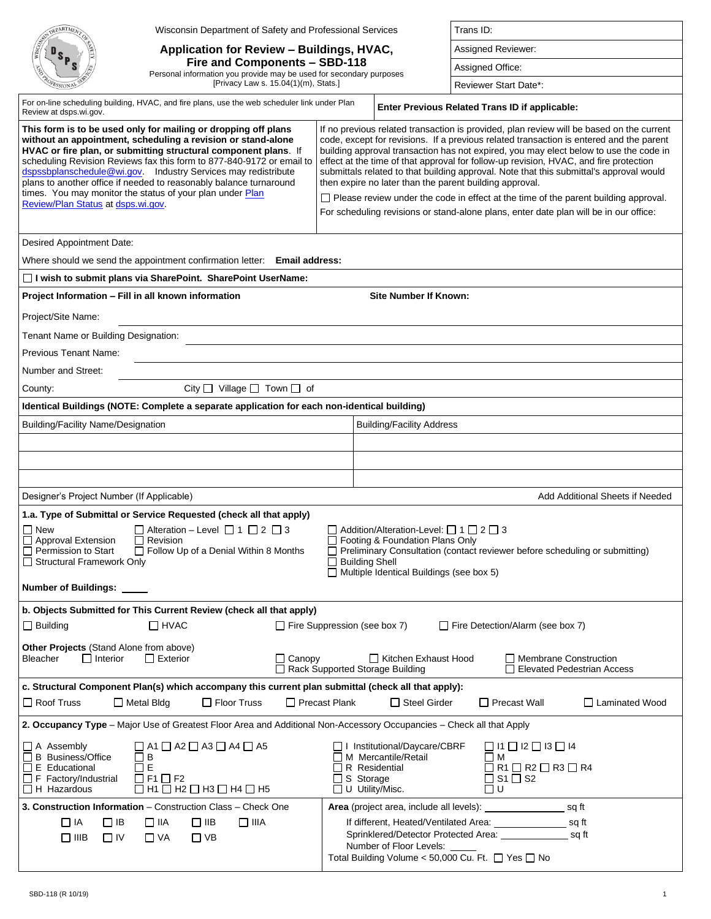| FPARTME)                                                                                                                                                                                                                                                                                                                                                                                                                                                                       | Wisconsin Department of Safety and Professional Services                                                                                              |                                                                    |                                                                                                                                                                                                                                                                                                                                                                                                                                                                                                                          | Trans ID:                                                                                                                   |                                   |  |
|--------------------------------------------------------------------------------------------------------------------------------------------------------------------------------------------------------------------------------------------------------------------------------------------------------------------------------------------------------------------------------------------------------------------------------------------------------------------------------|-------------------------------------------------------------------------------------------------------------------------------------------------------|--------------------------------------------------------------------|--------------------------------------------------------------------------------------------------------------------------------------------------------------------------------------------------------------------------------------------------------------------------------------------------------------------------------------------------------------------------------------------------------------------------------------------------------------------------------------------------------------------------|-----------------------------------------------------------------------------------------------------------------------------|-----------------------------------|--|
|                                                                                                                                                                                                                                                                                                                                                                                                                                                                                | Application for Review - Buildings, HVAC,                                                                                                             |                                                                    |                                                                                                                                                                                                                                                                                                                                                                                                                                                                                                                          | Assigned Reviewer:                                                                                                          |                                   |  |
|                                                                                                                                                                                                                                                                                                                                                                                                                                                                                | Fire and Components - SBD-118                                                                                                                         |                                                                    |                                                                                                                                                                                                                                                                                                                                                                                                                                                                                                                          | Assigned Office:                                                                                                            |                                   |  |
|                                                                                                                                                                                                                                                                                                                                                                                                                                                                                | Personal information you provide may be used for secondary purposes<br>[Privacy Law s. 15.04(1)(m), Stats.]                                           |                                                                    |                                                                                                                                                                                                                                                                                                                                                                                                                                                                                                                          | Reviewer Start Date*:                                                                                                       |                                   |  |
| Review at dsps.wi.gov.                                                                                                                                                                                                                                                                                                                                                                                                                                                         | For on-line scheduling building, HVAC, and fire plans, use the web scheduler link under Plan                                                          |                                                                    | Enter Previous Related Trans ID if applicable:                                                                                                                                                                                                                                                                                                                                                                                                                                                                           |                                                                                                                             |                                   |  |
|                                                                                                                                                                                                                                                                                                                                                                                                                                                                                |                                                                                                                                                       |                                                                    |                                                                                                                                                                                                                                                                                                                                                                                                                                                                                                                          | If no previous related transaction is provided, plan review will be based on the current                                    |                                   |  |
| This form is to be used only for mailing or dropping off plans<br>without an appointment, scheduling a revision or stand-alone<br>HVAC or fire plan, or submitting structural component plans. If<br>scheduling Revision Reviews fax this form to 877-840-9172 or email to<br>dspssbplanschedule@wi.gov. Industry Services may redistribute<br>plans to another office if needed to reasonably balance turnaround<br>times. You may monitor the status of your plan under Plan |                                                                                                                                                       |                                                                    | code, except for revisions. If a previous related transaction is entered and the parent<br>building approval transaction has not expired, you may elect below to use the code in<br>effect at the time of that approval for follow-up revision, HVAC, and fire protection<br>submittals related to that building approval. Note that this submittal's approval would<br>then expire no later than the parent building approval.<br>□ Please review under the code in effect at the time of the parent building approval. |                                                                                                                             |                                   |  |
| Review/Plan Status at dsps.wi.gov.                                                                                                                                                                                                                                                                                                                                                                                                                                             |                                                                                                                                                       |                                                                    |                                                                                                                                                                                                                                                                                                                                                                                                                                                                                                                          | For scheduling revisions or stand-alone plans, enter date plan will be in our office:                                       |                                   |  |
| <b>Desired Appointment Date:</b>                                                                                                                                                                                                                                                                                                                                                                                                                                               |                                                                                                                                                       |                                                                    |                                                                                                                                                                                                                                                                                                                                                                                                                                                                                                                          |                                                                                                                             |                                   |  |
|                                                                                                                                                                                                                                                                                                                                                                                                                                                                                | Where should we send the appointment confirmation letter: Email address:                                                                              |                                                                    |                                                                                                                                                                                                                                                                                                                                                                                                                                                                                                                          |                                                                                                                             |                                   |  |
|                                                                                                                                                                                                                                                                                                                                                                                                                                                                                | □ I wish to submit plans via SharePoint. SharePoint UserName:                                                                                         |                                                                    |                                                                                                                                                                                                                                                                                                                                                                                                                                                                                                                          |                                                                                                                             |                                   |  |
| Project Information - Fill in all known information                                                                                                                                                                                                                                                                                                                                                                                                                            |                                                                                                                                                       |                                                                    | <b>Site Number If Known:</b>                                                                                                                                                                                                                                                                                                                                                                                                                                                                                             |                                                                                                                             |                                   |  |
| Project/Site Name:                                                                                                                                                                                                                                                                                                                                                                                                                                                             |                                                                                                                                                       |                                                                    |                                                                                                                                                                                                                                                                                                                                                                                                                                                                                                                          |                                                                                                                             |                                   |  |
| Tenant Name or Building Designation:                                                                                                                                                                                                                                                                                                                                                                                                                                           |                                                                                                                                                       |                                                                    |                                                                                                                                                                                                                                                                                                                                                                                                                                                                                                                          |                                                                                                                             |                                   |  |
| Previous Tenant Name:                                                                                                                                                                                                                                                                                                                                                                                                                                                          |                                                                                                                                                       |                                                                    |                                                                                                                                                                                                                                                                                                                                                                                                                                                                                                                          |                                                                                                                             |                                   |  |
| Number and Street:                                                                                                                                                                                                                                                                                                                                                                                                                                                             |                                                                                                                                                       |                                                                    |                                                                                                                                                                                                                                                                                                                                                                                                                                                                                                                          |                                                                                                                             |                                   |  |
| County:                                                                                                                                                                                                                                                                                                                                                                                                                                                                        | City $\Box$ Village $\Box$ Town $\Box$ of                                                                                                             |                                                                    |                                                                                                                                                                                                                                                                                                                                                                                                                                                                                                                          |                                                                                                                             |                                   |  |
|                                                                                                                                                                                                                                                                                                                                                                                                                                                                                | Identical Buildings (NOTE: Complete a separate application for each non-identical building)                                                           |                                                                    |                                                                                                                                                                                                                                                                                                                                                                                                                                                                                                                          |                                                                                                                             |                                   |  |
| <b>Building/Facility Name/Designation</b>                                                                                                                                                                                                                                                                                                                                                                                                                                      |                                                                                                                                                       |                                                                    | <b>Building/Facility Address</b>                                                                                                                                                                                                                                                                                                                                                                                                                                                                                         |                                                                                                                             |                                   |  |
|                                                                                                                                                                                                                                                                                                                                                                                                                                                                                |                                                                                                                                                       |                                                                    |                                                                                                                                                                                                                                                                                                                                                                                                                                                                                                                          |                                                                                                                             |                                   |  |
|                                                                                                                                                                                                                                                                                                                                                                                                                                                                                |                                                                                                                                                       |                                                                    |                                                                                                                                                                                                                                                                                                                                                                                                                                                                                                                          |                                                                                                                             |                                   |  |
|                                                                                                                                                                                                                                                                                                                                                                                                                                                                                |                                                                                                                                                       |                                                                    |                                                                                                                                                                                                                                                                                                                                                                                                                                                                                                                          |                                                                                                                             |                                   |  |
| Designer's Project Number (If Applicable)                                                                                                                                                                                                                                                                                                                                                                                                                                      |                                                                                                                                                       |                                                                    |                                                                                                                                                                                                                                                                                                                                                                                                                                                                                                                          |                                                                                                                             | Add Additional Sheets if Needed   |  |
|                                                                                                                                                                                                                                                                                                                                                                                                                                                                                | 1.a. Type of Submittal or Service Requested (check all that apply)<br>$\Box$ Alteration - Level $\Box$ 1 $\Box$ 2 $\Box$ 3                            |                                                                    |                                                                                                                                                                                                                                                                                                                                                                                                                                                                                                                          |                                                                                                                             |                                   |  |
| $\Box$ New<br>□ Approval Extension<br>$\Box$ Permission to Start<br>Structural Framework Only                                                                                                                                                                                                                                                                                                                                                                                  | $\Box$ Revision<br>$\Box$ Follow Up of a Denial Within 8 Months                                                                                       | <b>Building Shell</b>                                              | $\Box$ Addition/Alteration-Level: $\Box$ 1 $\Box$ 2 $\Box$ 3<br>□ Footing & Foundation Plans Only<br>Multiple Identical Buildings (see box 5)                                                                                                                                                                                                                                                                                                                                                                            | Preliminary Consultation (contact reviewer before scheduling or submitting)                                                 |                                   |  |
| Number of Buildings: _____                                                                                                                                                                                                                                                                                                                                                                                                                                                     |                                                                                                                                                       |                                                                    |                                                                                                                                                                                                                                                                                                                                                                                                                                                                                                                          |                                                                                                                             |                                   |  |
|                                                                                                                                                                                                                                                                                                                                                                                                                                                                                | b. Objects Submitted for This Current Review (check all that apply)                                                                                   |                                                                    |                                                                                                                                                                                                                                                                                                                                                                                                                                                                                                                          |                                                                                                                             |                                   |  |
| $\Box$ Building                                                                                                                                                                                                                                                                                                                                                                                                                                                                | $\Box$ HVAC                                                                                                                                           | $\Box$ Fire Suppression (see box 7)                                |                                                                                                                                                                                                                                                                                                                                                                                                                                                                                                                          | $\Box$ Fire Detection/Alarm (see box 7)                                                                                     |                                   |  |
| Other Projects (Stand Alone from above)<br>Bleacher<br>$\Box$ Interior                                                                                                                                                                                                                                                                                                                                                                                                         | $\Box$ Exterior<br>$\Box$ Canopy                                                                                                                      | Rack Supported Storage Building                                    | □ Kitchen Exhaust Hood                                                                                                                                                                                                                                                                                                                                                                                                                                                                                                   | □ Membrane Construction                                                                                                     | $\Box$ Elevated Pedestrian Access |  |
|                                                                                                                                                                                                                                                                                                                                                                                                                                                                                | c. Structural Component Plan(s) which accompany this current plan submittal (check all that apply):                                                   |                                                                    |                                                                                                                                                                                                                                                                                                                                                                                                                                                                                                                          |                                                                                                                             |                                   |  |
| Roof Truss                                                                                                                                                                                                                                                                                                                                                                                                                                                                     | $\Box$ Floor Truss<br>$\Box$ Metal Bldg                                                                                                               | $\Box$ Precast Plank                                               | $\Box$ Steel Girder                                                                                                                                                                                                                                                                                                                                                                                                                                                                                                      | $\Box$ Precast Wall                                                                                                         | □ Laminated Wood                  |  |
|                                                                                                                                                                                                                                                                                                                                                                                                                                                                                | 2. Occupancy Type - Major Use of Greatest Floor Area and Additional Non-Accessory Occupancies - Check all that Apply                                  |                                                                    |                                                                                                                                                                                                                                                                                                                                                                                                                                                                                                                          |                                                                                                                             |                                   |  |
| $\Box$ A Assembly<br>□ B Business/Office<br>$\Box$ E Educational<br>$\Box$ F Factory/Industrial<br>$\Box$ H Hazardous                                                                                                                                                                                                                                                                                                                                                          | $\Box$ A1 $\Box$ A2 $\Box$ A3 $\Box$ A4 $\Box$ A5<br>$\Box$ B<br>$\Box$ E<br>$\Box$ F1 $\Box$ F2<br>$\Box$ H1 $\Box$ H2 $\Box$ H3 $\Box$ H4 $\Box$ H5 | $\Box$ R Residential<br>$\Box$ S Storage<br>$\Box$ U Utility/Misc. | □ I Institutional/Daycare/CBRF<br>□ M Mercantile/Retail                                                                                                                                                                                                                                                                                                                                                                                                                                                                  | $\Box$ 11 $\Box$ 12 $\Box$ 13 $\Box$ 14<br>$\Box$ M<br>$\Box$ R1 $\Box$ R2 $\Box$ R3 $\Box$ R4<br>$\Box$ S1 $\Box$ S2<br>Π∪ |                                   |  |
|                                                                                                                                                                                                                                                                                                                                                                                                                                                                                | 3. Construction Information - Construction Class - Check One                                                                                          |                                                                    |                                                                                                                                                                                                                                                                                                                                                                                                                                                                                                                          | Area (project area, include all levels): _________________________ sq ft                                                    |                                   |  |
| $\Box$ IA<br>$\Box$ IB<br>$\Box$ IIIB<br>$\Box$ IV                                                                                                                                                                                                                                                                                                                                                                                                                             | $\Box$ IIIA<br>$\Box$ IIA<br>$\Box$ IIB<br>$\Box$ VA<br>$\square$ VB                                                                                  |                                                                    | Number of Floor Levels:                                                                                                                                                                                                                                                                                                                                                                                                                                                                                                  | Sprinklered/Detector Protected Area: _____________________ sq ft<br>Total Building Volume < 50,000 Cu. Ft. □ Yes □ No       |                                   |  |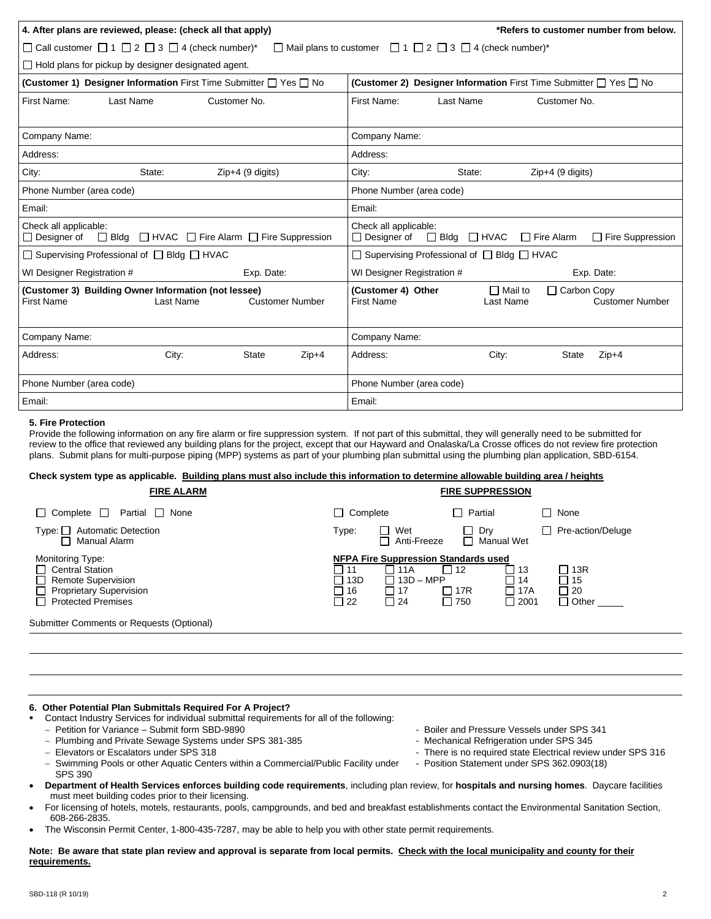| 4. After plans are reviewed, please: (check all that apply)                                                      | *Refers to customer number from below.                                                                             |  |  |  |  |  |  |
|------------------------------------------------------------------------------------------------------------------|--------------------------------------------------------------------------------------------------------------------|--|--|--|--|--|--|
| □ Call customer □ 1 □ 2 □ 3 □ 4 (check number)*                                                                  | $\Box$ Mail plans to customer $\Box$ 1 $\Box$ 2 $\Box$ 3 $\Box$ 4 (check number)*                                  |  |  |  |  |  |  |
| $\Box$ Hold plans for pickup by designer designated agent.                                                       |                                                                                                                    |  |  |  |  |  |  |
| <b>(Customer 1) Designer Information First Time Submitter <math>\Box</math> Yes <math>\Box</math> No</b>         | (Customer 2) Designer Information First Time Submitter □ Yes □ No                                                  |  |  |  |  |  |  |
| Last Name<br>First Name:<br>Customer No.                                                                         | First Name:<br>Last Name<br>Customer No.                                                                           |  |  |  |  |  |  |
| Company Name:                                                                                                    | Company Name:                                                                                                      |  |  |  |  |  |  |
| Address:                                                                                                         | Address:                                                                                                           |  |  |  |  |  |  |
| City:<br>State:<br>$Zip+4$ (9 digits)                                                                            | City:<br>$Zip+4$ (9 digits)<br>State:                                                                              |  |  |  |  |  |  |
| Phone Number (area code)                                                                                         | Phone Number (area code)                                                                                           |  |  |  |  |  |  |
| Email:                                                                                                           | Email:                                                                                                             |  |  |  |  |  |  |
| Check all applicable:<br>$\Box$ Bldg $\Box$ HVAC $\Box$ Fire Alarm $\Box$ Fire Suppression<br>Designer of        | Check all applicable:<br>Fire Suppression<br>$\Box$ Designer of<br>$\Box$ Bldg<br>$\Box$ HVAC<br>$\Box$ Fire Alarm |  |  |  |  |  |  |
| □ Supervising Professional of □ Bldg □ HVAC                                                                      | $\Box$ Supervising Professional of $\Box$ Bldg $\Box$ HVAC                                                         |  |  |  |  |  |  |
| WI Designer Registration #<br>Exp. Date:                                                                         | WI Designer Registration #<br>Exp. Date:                                                                           |  |  |  |  |  |  |
| (Customer 3) Building Owner Information (not lessee)<br><b>First Name</b><br>Last Name<br><b>Customer Number</b> | (Customer 4) Other<br>□ Carbon Copy<br>□ Mail to<br><b>First Name</b><br>Last Name<br><b>Customer Number</b>       |  |  |  |  |  |  |
| Company Name:                                                                                                    | Company Name:                                                                                                      |  |  |  |  |  |  |
| Address:<br>City:<br><b>State</b><br>$Zip+4$                                                                     | Address:<br>City:<br>$Zip+4$<br><b>State</b>                                                                       |  |  |  |  |  |  |
| Phone Number (area code)                                                                                         | Phone Number (area code)                                                                                           |  |  |  |  |  |  |
| Email:                                                                                                           | Email:                                                                                                             |  |  |  |  |  |  |

#### **5. Fire Protection**

Provide the following information on any fire alarm or fire suppression system. If not part of this submittal, they will generally need to be submitted for review to the office that reviewed any building plans for the project, except that our Hayward and Onalaska/La Crosse offices do not review fire protection plans. Submit plans for multi-purpose piping (MPP) systems as part of your plumbing plan submittal using the plumbing plan application, SBD-6154.

# **Check system type as applicable. Building plans must also include this information to determine allowable building area / heights**

| <b>FIRE ALARM</b>                                                                                                                 | <b>FIRE SUPPRESSION</b>                                                                                                                                                                                                        |                                                 |  |  |  |
|-----------------------------------------------------------------------------------------------------------------------------------|--------------------------------------------------------------------------------------------------------------------------------------------------------------------------------------------------------------------------------|-------------------------------------------------|--|--|--|
| $\Box$ Complete $\Box$<br>Partial □ None                                                                                          | $\Box$ Complete<br>$\Box$ Partial<br>□ None                                                                                                                                                                                    |                                                 |  |  |  |
| <b>Automatic Detection</b><br>$Type: \Box$<br>Manual Alarm<br>$\blacksquare$                                                      | Wet<br>$\Box$ Dry<br>Type:<br>Anti-Freeze<br>□ Manual Wet                                                                                                                                                                      | Pre-action/Deluge                               |  |  |  |
| Monitoring Type:<br>□ Central Station<br><b>Remote Supervision</b><br><b>Proprietary Supervision</b><br><b>Protected Premises</b> | <b>NFPA Fire Suppression Standards used</b><br>$\Box$ 12<br>11A<br>l 13<br>l 11<br>$13D - MPP$<br>□ 13D<br>□ 14<br>17R<br>$\Box$ 17A<br>□ 16<br>$\blacksquare$<br>l 117<br>$\Box$ 22<br>$\Box$ 24<br>$\Box$ 750<br>$\Box$ 2001 | □ 13R<br>$\Box$ 15<br>$\Box$ 20<br>$\Box$ Other |  |  |  |
| Submitter Comments or Requests (Optional)                                                                                         |                                                                                                                                                                                                                                |                                                 |  |  |  |

## **6. Other Potential Plan Submittals Required For A Project?**

- Contact Industry Services for individual submittal requirements for all of the following:
- − Petition for Variance Submit form SBD-9890 Boiler and Pressure Vessels under SPS 341
- − Plumbing and Private Sewage Systems under SPS 381-385 Mechanical Refrigeration under SPS 345<br>Filevators or Escalators under SPS 318 Mechanical Review There is no required state Electrical review
- 
- − Swimming Pools or other Aquatic Centers within a Commercial/Public Facility under Position Statement under SPS 362.0903(18) SPS 390
- **Department of Health Services enforces building code requirements**, including plan review, for **hospitals and nursing homes**. Daycare facilities must meet building codes prior to their licensing.
- For licensing of hotels, motels, restaurants, pools, campgrounds, and bed and breakfast establishments contact the Environmental Sanitation Section, 608-266-2835.
- The Wisconsin Permit Center, 1-800-435-7287, may be able to help you with other state permit requirements.

**Note: Be aware that state plan review and approval is separate from local permits. Check with the local municipality and county for their requirements.**

- 
- There is no required state Electrical review under SPS 316
-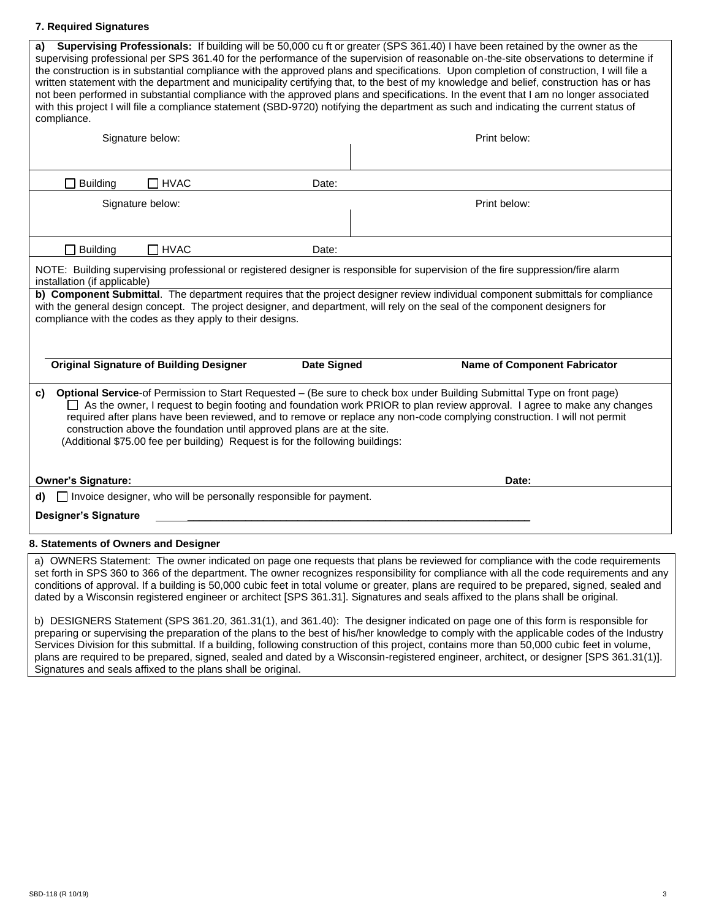# **7. Required Signatures**

| a)<br>compliance.                                                                                                                                                                                                                                                                                                                                                                                                                                                                                                                               | Signature below:                               |                    | Supervising Professionals: If building will be 50,000 cu ft or greater (SPS 361.40) I have been retained by the owner as the<br>supervising professional per SPS 361.40 for the performance of the supervision of reasonable on-the-site observations to determine if<br>the construction is in substantial compliance with the approved plans and specifications. Upon completion of construction, I will file a<br>written statement with the department and municipality certifying that, to the best of my knowledge and belief, construction has or has<br>not been performed in substantial compliance with the approved plans and specifications. In the event that I am no longer associated<br>with this project I will file a compliance statement (SBD-9720) notifying the department as such and indicating the current status of<br>Print below: |  |  |  |
|-------------------------------------------------------------------------------------------------------------------------------------------------------------------------------------------------------------------------------------------------------------------------------------------------------------------------------------------------------------------------------------------------------------------------------------------------------------------------------------------------------------------------------------------------|------------------------------------------------|--------------------|---------------------------------------------------------------------------------------------------------------------------------------------------------------------------------------------------------------------------------------------------------------------------------------------------------------------------------------------------------------------------------------------------------------------------------------------------------------------------------------------------------------------------------------------------------------------------------------------------------------------------------------------------------------------------------------------------------------------------------------------------------------------------------------------------------------------------------------------------------------|--|--|--|
|                                                                                                                                                                                                                                                                                                                                                                                                                                                                                                                                                 |                                                |                    |                                                                                                                                                                                                                                                                                                                                                                                                                                                                                                                                                                                                                                                                                                                                                                                                                                                               |  |  |  |
| <b>Building</b>                                                                                                                                                                                                                                                                                                                                                                                                                                                                                                                                 | $\Box$ HVAC                                    | Date:              |                                                                                                                                                                                                                                                                                                                                                                                                                                                                                                                                                                                                                                                                                                                                                                                                                                                               |  |  |  |
|                                                                                                                                                                                                                                                                                                                                                                                                                                                                                                                                                 | Signature below:                               |                    | Print below:                                                                                                                                                                                                                                                                                                                                                                                                                                                                                                                                                                                                                                                                                                                                                                                                                                                  |  |  |  |
| <b>Building</b>                                                                                                                                                                                                                                                                                                                                                                                                                                                                                                                                 | $\Box$ HVAC                                    | Date:              |                                                                                                                                                                                                                                                                                                                                                                                                                                                                                                                                                                                                                                                                                                                                                                                                                                                               |  |  |  |
| NOTE: Building supervising professional or registered designer is responsible for supervision of the fire suppression/fire alarm<br>installation (if applicable)<br>b) Component Submittal. The department requires that the project designer review individual component submittals for compliance<br>with the general design concept. The project designer, and department, will rely on the seal of the component designers for<br>compliance with the codes as they apply to their designs.                                                 |                                                |                    |                                                                                                                                                                                                                                                                                                                                                                                                                                                                                                                                                                                                                                                                                                                                                                                                                                                               |  |  |  |
|                                                                                                                                                                                                                                                                                                                                                                                                                                                                                                                                                 | <b>Original Signature of Building Designer</b> | <b>Date Signed</b> | <b>Name of Component Fabricator</b>                                                                                                                                                                                                                                                                                                                                                                                                                                                                                                                                                                                                                                                                                                                                                                                                                           |  |  |  |
| Optional Service-of Permission to Start Requested - (Be sure to check box under Building Submittal Type on front page)<br>C)<br>As the owner, I request to begin footing and foundation work PRIOR to plan review approval. I agree to make any changes<br>required after plans have been reviewed, and to remove or replace any non-code complying construction. I will not permit<br>construction above the foundation until approved plans are at the site.<br>(Additional \$75.00 fee per building) Request is for the following buildings: |                                                |                    |                                                                                                                                                                                                                                                                                                                                                                                                                                                                                                                                                                                                                                                                                                                                                                                                                                                               |  |  |  |
| <b>Owner's Signature:</b>                                                                                                                                                                                                                                                                                                                                                                                                                                                                                                                       |                                                |                    | Date:                                                                                                                                                                                                                                                                                                                                                                                                                                                                                                                                                                                                                                                                                                                                                                                                                                                         |  |  |  |
| □ Invoice designer, who will be personally responsible for payment.<br>d)<br><b>Designer's Signature</b>                                                                                                                                                                                                                                                                                                                                                                                                                                        |                                                |                    |                                                                                                                                                                                                                                                                                                                                                                                                                                                                                                                                                                                                                                                                                                                                                                                                                                                               |  |  |  |
| 8. Statements of Owners and Designer                                                                                                                                                                                                                                                                                                                                                                                                                                                                                                            |                                                |                    |                                                                                                                                                                                                                                                                                                                                                                                                                                                                                                                                                                                                                                                                                                                                                                                                                                                               |  |  |  |
| a) OWNERS Statement: The owner indicated on page one requests that plans be reviewed for compliance with the code requirements<br>set forth in SPS 360 to 366 of the department. The owner recognizes responsibility for compliance with all the code requirements and any                                                                                                                                                                                                                                                                      |                                                |                    |                                                                                                                                                                                                                                                                                                                                                                                                                                                                                                                                                                                                                                                                                                                                                                                                                                                               |  |  |  |

b) DESIGNERS Statement (SPS 361.20, 361.31(1), and 361.40): The designer indicated on page one of this form is responsible for preparing or supervising the preparation of the plans to the best of his/her knowledge to comply with the applicable codes of the Industry Services Division for this submittal. If a building, following construction of this project, contains more than 50,000 cubic feet in volume, plans are required to be prepared, signed, sealed and dated by a Wisconsin-registered engineer, architect, or designer [SPS 361.31(1)]. Signatures and seals affixed to the plans shall be original.

conditions of approval. If a building is 50,000 cubic feet in total volume or greater, plans are required to be prepared, signed, sealed and

dated by a Wisconsin registered engineer or architect [SPS 361.31]. Signatures and seals affixed to the plans shall be original.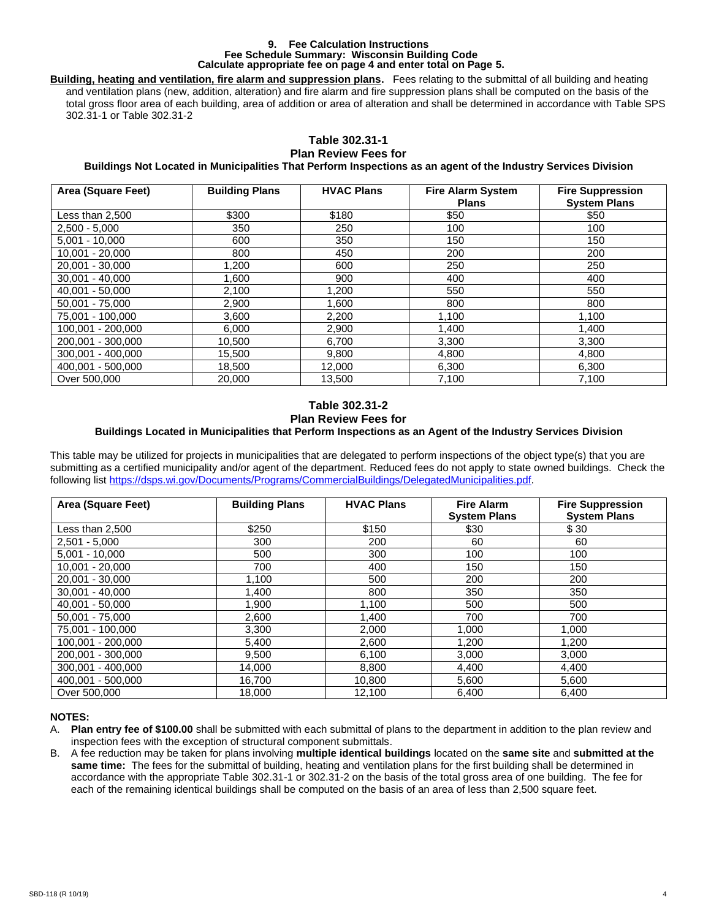#### **9. Fee Calculation Instructions Fee Schedule Summary: Wisconsin Building Code Calculate appropriate fee on page 4 and enter total on Page 5.**

**Building, heating and ventilation, fire alarm and suppression plans.** Fees relating to the submittal of all building and heating and ventilation plans (new, addition, alteration) and fire alarm and fire suppression plans shall be computed on the basis of the total gross floor area of each building, area of addition or area of alteration and shall be determined in accordance with Table SPS 302.31-1 or Table 302.31-2

### **Table 302.31-1 Plan Review Fees for**

# **Buildings Not Located in Municipalities That Perform Inspections as an agent of the Industry Services Division**

| Area (Square Feet) | <b>Building Plans</b> | <b>HVAC Plans</b> | <b>Fire Alarm System</b><br><b>Plans</b> | <b>Fire Suppression</b><br><b>System Plans</b> |
|--------------------|-----------------------|-------------------|------------------------------------------|------------------------------------------------|
| Less than 2,500    | \$300                 | \$180             | \$50                                     | \$50                                           |
| $2,500 - 5,000$    | 350                   | 250               | 100                                      | 100                                            |
| $5,001 - 10,000$   | 600                   | 350               | 150                                      | 150                                            |
| $10,001 - 20,000$  | 800                   | 450               | 200                                      | 200                                            |
| 20.001 - 30.000    | 1,200                 | 600               | 250                                      | 250                                            |
| $30,001 - 40,000$  | 1,600                 | 900               | 400                                      | 400                                            |
| 40,001 - 50,000    | 2,100                 | 1,200             | 550                                      | 550                                            |
| $50.001 - 75.000$  | 2,900                 | 1,600             | 800                                      | 800                                            |
| 75,001 - 100,000   | 3,600                 | 2,200             | 1,100                                    | 1,100                                          |
| 100,001 - 200,000  | 6,000                 | 2,900             | 1.400                                    | 1,400                                          |
| 200.001 - 300.000  | 10,500                | 6,700             | 3,300                                    | 3,300                                          |
| 300,001 - 400,000  | 15,500                | 9,800             | 4,800                                    | 4,800                                          |
| 400,001 - 500,000  | 18,500                | 12.000            | 6,300                                    | 6,300                                          |
| Over 500,000       | 20,000                | 13,500            | 7,100                                    | 7,100                                          |

### **Table 302.31-2 Plan Review Fees for Buildings Located in Municipalities that Perform Inspections as an Agent of the Industry Services Division**

This table may be utilized for projects in municipalities that are delegated to perform inspections of the object type(s) that you are submitting as a certified municipality and/or agent of the department. Reduced fees do not apply to state owned buildings. Check the following list [https://dsps.wi.gov/Documents/Programs/CommercialBuildings/DelegatedMunicipalities.pdf.](https://dsps.wi.gov/Documents/Programs/CommercialBuildings/DelegatedMunicipalities.pdf)

| Area (Square Feet) | <b>Building Plans</b> | <b>HVAC Plans</b> | <b>Fire Alarm</b><br><b>System Plans</b> | <b>Fire Suppression</b><br><b>System Plans</b> |
|--------------------|-----------------------|-------------------|------------------------------------------|------------------------------------------------|
| Less than 2,500    | \$250                 | \$150             | \$30                                     | \$ 30                                          |
| $2,501 - 5,000$    | 300                   | 200               | 60                                       | 60                                             |
| $5,001 - 10,000$   | 500                   | 300               | 100                                      | 100                                            |
| 10.001 - 20.000    | 700                   | 400               | 150                                      | 150                                            |
| 20,001 - 30,000    | 1,100                 | 500               | 200                                      | 200                                            |
| $30.001 - 40.000$  | 1,400                 | 800               | 350                                      | 350                                            |
| 40,001 - 50,000    | 1,900                 | 1,100             | 500                                      | 500                                            |
| $50,001 - 75,000$  | 2,600                 | 1,400             | 700                                      | 700                                            |
| 75,001 - 100,000   | 3,300                 | 2,000             | 1,000                                    | 1.000                                          |
| 100,001 - 200,000  | 5,400                 | 2,600             | 1,200                                    | 1.200                                          |
| 200,001 - 300,000  | 9,500                 | 6,100             | 3,000                                    | 3,000                                          |
| 300.001 - 400.000  | 14.000                | 8,800             | 4,400                                    | 4,400                                          |
| 400,001 - 500,000  | 16,700                | 10,800            | 5,600                                    | 5,600                                          |
| Over 500,000       | 18.000                | 12.100            | 6.400                                    | 6.400                                          |

## **NOTES:**

- A. **Plan entry fee of \$100.00** shall be submitted with each submittal of plans to the department in addition to the plan review and inspection fees with the exception of structural component submittals.
- B. A fee reduction may be taken for plans involving **multiple identical buildings** located on the **same site** and **submitted at the same time:** The fees for the submittal of building, heating and ventilation plans for the first building shall be determined in accordance with the appropriate Table 302.31-1 or 302.31-2 on the basis of the total gross area of one building. The fee for each of the remaining identical buildings shall be computed on the basis of an area of less than 2,500 square feet.